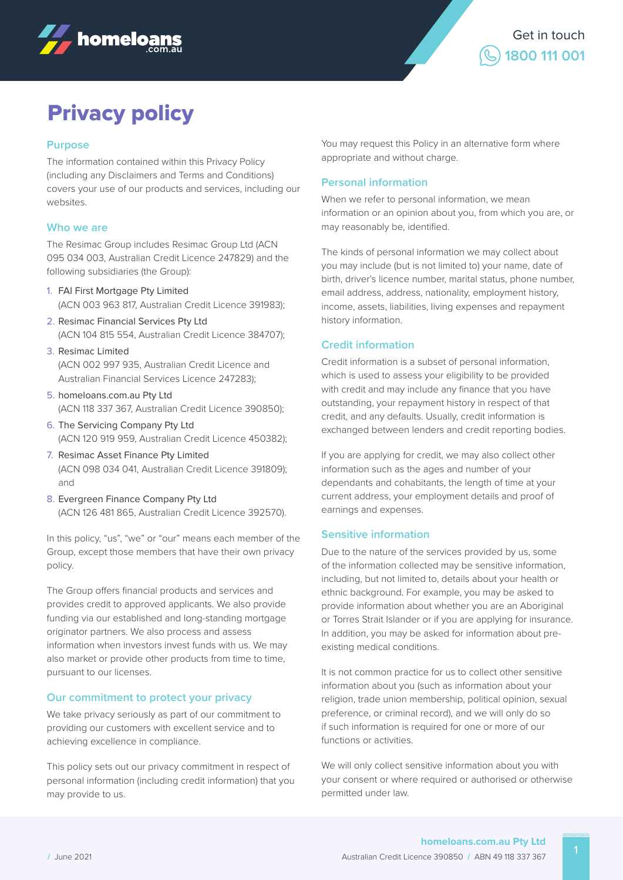



# Privacy policy

## **Purpose**

The information contained within this Privacy Policy (including any Disclaimers and Terms and Conditions) covers your use of our products and services, including our websites.

## **Who we are**

The Resimac Group includes Resimac Group Ltd (ACN 095 034 003, Australian Credit Licence 247829) and the following subsidiaries (the Group):

- 1. FAI First Mortgage Pty Limited (ACN 003 963 817, Australian Credit Licence 391983);
- 2. Resimac Financial Services Pty Ltd (ACN 104 815 554, Australian Credit Licence 384707);
- 3. Resimac Limited 4. (ACN 002 997 935, Australian Credit Licence and Australian Financial Services Licence 247283);
- 5. homeloans.com.au Pty Ltd (ACN 118 337 367, Australian Credit Licence 390850);
- 6. The Servicing Company Pty Ltd (ACN 120 919 959, Australian Credit Licence 450382);
- 7. Resimac Asset Finance Pty Limited (ACN 098 034 041, Australian Credit Licence 391809); and
- 8. Evergreen Finance Company Pty Ltd (ACN 126 481 865, Australian Credit Licence 392570).

In this policy, "us", "we" or "our" means each member of the Group, except those members that have their own privacy policy.

The Group offers financial products and services and provides credit to approved applicants. We also provide funding via our established and long-standing mortgage originator partners. We also process and assess information when investors invest funds with us. We may also market or provide other products from time to time, pursuant to our licenses.

## **Our commitment to protect your privacy**

We take privacy seriously as part of our commitment to providing our customers with excellent service and to achieving excellence in compliance.

This policy sets out our privacy commitment in respect of personal information (including credit information) that you may provide to us.

You may request this Policy in an alternative form where appropriate and without charge.

## **Personal information**

When we refer to personal information, we mean information or an opinion about you, from which you are, or may reasonably be, identified.

The kinds of personal information we may collect about you may include (but is not limited to) your name, date of birth, driver's licence number, marital status, phone number, email address, address, nationality, employment history, income, assets, liabilities, living expenses and repayment history information.

## **Credit information**

Credit information is a subset of personal information, which is used to assess your eligibility to be provided with credit and may include any finance that you have outstanding, your repayment history in respect of that credit, and any defaults. Usually, credit information is exchanged between lenders and credit reporting bodies.

If you are applying for credit, we may also collect other information such as the ages and number of your dependants and cohabitants, the length of time at your current address, your employment details and proof of earnings and expenses.

## **Sensitive information**

Due to the nature of the services provided by us, some of the information collected may be sensitive information, including, but not limited to, details about your health or ethnic background. For example, you may be asked to provide information about whether you are an Aboriginal or Torres Strait Islander or if you are applying for insurance. In addition, you may be asked for information about preexisting medical conditions.

It is not common practice for us to collect other sensitive information about you (such as information about your religion, trade union membership, political opinion, sexual preference, or criminal record), and we will only do so if such information is required for one or more of our functions or activities.

We will only collect sensitive information about you with your consent or where required or authorised or otherwise permitted under law.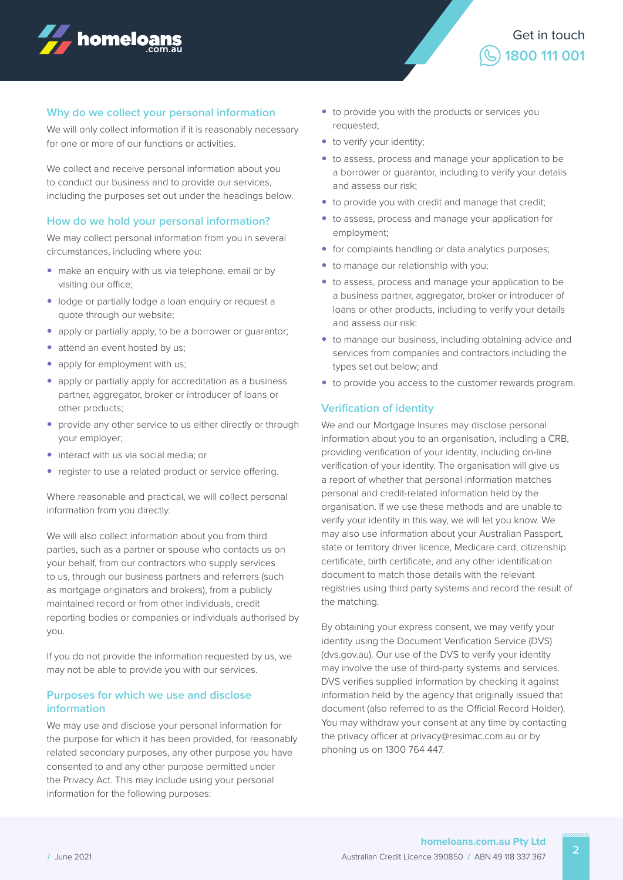



#### **Why do we collect your personal information**

We will only collect information if it is reasonably necessary for one or more of our functions or activities.

We collect and receive personal information about you to conduct our business and to provide our services, including the purposes set out under the headings below.

#### **How do we hold your personal information?**

We may collect personal information from you in several circumstances, including where you:

- make an enquiry with us via telephone, email or by visiting our office;
- lodge or partially lodge a loan enquiry or request a quote through our website;
- apply or partially apply, to be a borrower or quarantor;
- attend an event hosted by us;
- apply for employment with us:
- apply or partially apply for accreditation as a business partner, aggregator, broker or introducer of loans or other products;
- provide any other service to us either directly or through your employer;
- interact with us via social media; or
- register to use a related product or service offering.

Where reasonable and practical, we will collect personal information from you directly.

We will also collect information about you from third parties, such as a partner or spouse who contacts us on your behalf, from our contractors who supply services to us, through our business partners and referrers (such as mortgage originators and brokers), from a publicly maintained record or from other individuals, credit reporting bodies or companies or individuals authorised by you.

If you do not provide the information requested by us, we may not be able to provide you with our services.

#### **Purposes for which we use and disclose information**

We may use and disclose your personal information for the purpose for which it has been provided, for reasonably related secondary purposes, any other purpose you have consented to and any other purpose permitted under the Privacy Act. This may include using your personal information for the following purposes:

- to provide you with the products or services you requested;
- to verify your identity;
- to assess, process and manage your application to be a borrower or guarantor, including to verify your details and assess our risk;
- to provide you with credit and manage that credit;
- to assess, process and manage your application for employment;
- for complaints handling or data analytics purposes;
- to manage our relationship with you;
- to assess, process and manage your application to be a business partner, aggregator, broker or introducer of loans or other products, including to verify your details and assess our risk;
- to manage our business, including obtaining advice and services from companies and contractors including the types set out below; and
- to provide you access to the customer rewards program.

## **Verification of identity**

We and our Mortgage Insures may disclose personal information about you to an organisation, including a CRB, providing verification of your identity, including on-line verification of your identity. The organisation will give us a report of whether that personal information matches personal and credit-related information held by the organisation. If we use these methods and are unable to verify your identity in this way, we will let you know. We may also use information about your Australian Passport, state or territory driver licence, Medicare card, citizenship certificate, birth certificate, and any other identification document to match those details with the relevant registries using third party systems and record the result of the matching.

By obtaining your express consent, we may verify your identity using the Document Verification Service (DVS) (dvs.gov.au). Our use of the DVS to verify your identity may involve the use of third-party systems and services. DVS verifies supplied information by checking it against information held by the agency that originally issued that document (also referred to as the Official Record Holder). You may withdraw your consent at any time by contacting the privacy officer at privacy@resimac.com.au or by phoning us on 1300 764 447.

2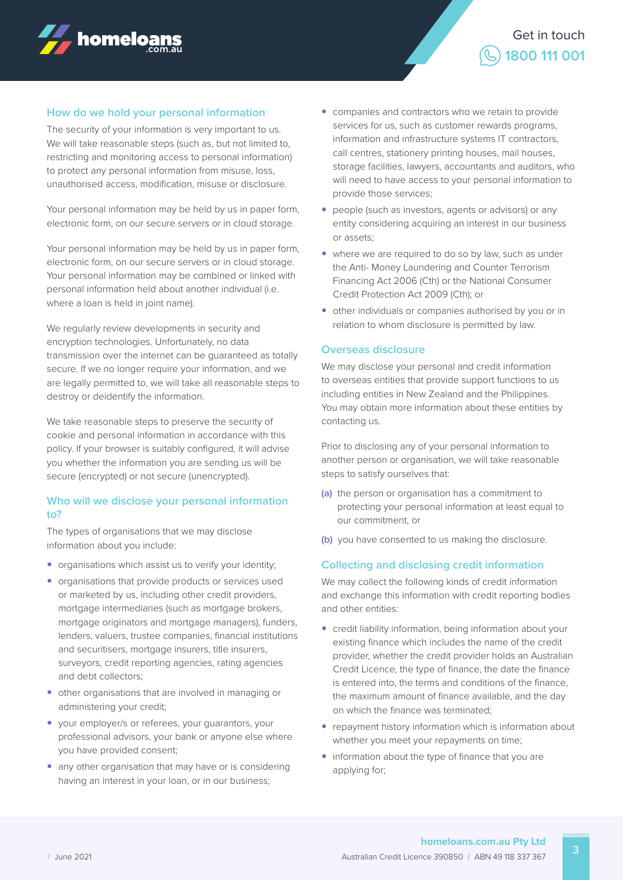



#### **How do we hold your personal information**

The security of your information is very important to us. We will take reasonable steps (such as, but not limited to, restricting and monitoring access to personal information) to protect any personal information from misuse, loss, unauthorised access, modification, misuse or disclosure.

Your personal information may be held by us in paper form, electronic form, on our secure servers or in cloud storage.

Your personal information may be held by us in paper form, electronic form, on our secure servers or in cloud storage. Your personal information may be combined or linked with personal information held about another individual (i.e. where a loan is held in joint name).

We regularly review developments in security and encryption technologies. Unfortunately, no data transmission over the internet can be guaranteed as totally secure. If we no longer require your information, and we are legally permitted to, we will take all reasonable steps to destroy or deidentify the information.

We take reasonable steps to preserve the security of cookie and personal information in accordance with this policy. If your browser is suitably configured, it will advise you whether the information you are sending us will be secure (encrypted) or not secure (unencrypted).

## **Who will we disclose your personal information to?**

The types of organisations that we may disclose information about you include:

- organisations which assist us to verify your identity;
- $\bullet$  organisations that provide products or services used or marketed by us, including other credit providers, mortgage intermediaries (such as mortgage brokers, mortgage originators and mortgage managers), funders, lenders, valuers, trustee companies, financial institutions and securitisers, mortgage insurers, title insurers, surveyors, credit reporting agencies, rating agencies and debt collectors;
- other organisations that are involved in managing or administering your credit;
- y your employer/s or referees, your guarantors, your professional advisors, your bank or anyone else where you have provided consent;
- any other organisation that may have or is considering having an interest in your loan, or in our business;
- $\bullet$  companies and contractors who we retain to provide services for us, such as customer rewards programs, information and infrastructure systems IT contractors, call centres, stationery printing houses, mail houses, storage facilities, lawyers, accountants and auditors, who will need to have access to your personal information to provide those services;
- people (such as investors, agents or advisors) or any entity considering acquiring an interest in our business or assets;
- where we are required to do so by law, such as under the Anti- Money Laundering and Counter Terrorism Financing Act 2006 (Cth) or the National Consumer Credit Protection Act 2009 (Cth); or
- other individuals or companies authorised by you or in relation to whom disclosure is permitted by law.

#### **Overseas disclosure**

We may disclose your personal and credit information to overseas entities that provide support functions to us including entities in New Zealand and the Philippines. You may obtain more information about these entities by contacting us.

Prior to disclosing any of your personal information to another person or organisation, we will take reasonable steps to satisfy ourselves that:

- **(a)** the person or organisation has a commitment to protecting your personal information at least equal to our commitment, or
- **(b)** you have consented to us making the disclosure.

## **Collecting and disclosing credit information**

We may collect the following kinds of credit information and exchange this information with credit reporting bodies and other entities:

- credit liability information, being information about your existing finance which includes the name of the credit provider, whether the credit provider holds an Australian Credit Licence, the type of finance, the date the finance is entered into, the terms and conditions of the finance, the maximum amount of finance available, and the day on which the finance was terminated;
- repayment history information which is information about whether you meet your repayments on time;
- information about the type of finance that you are applying for;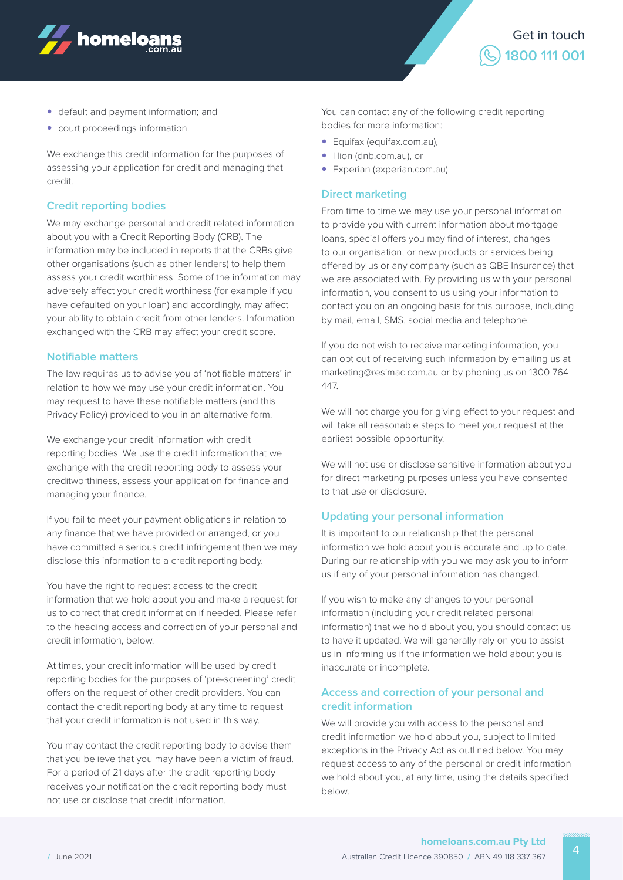



- default and payment information; and
- court proceedings information.

We exchange this credit information for the purposes of assessing your application for credit and managing that credit.

#### **Credit reporting bodies**

We may exchange personal and credit related information about you with a Credit Reporting Body (CRB). The information may be included in reports that the CRBs give other organisations (such as other lenders) to help them assess your credit worthiness. Some of the information may adversely affect your credit worthiness (for example if you have defaulted on your loan) and accordingly, may affect your ability to obtain credit from other lenders. Information exchanged with the CRB may affect your credit score.

#### **Notifiable matters**

The law requires us to advise you of 'notifiable matters' in relation to how we may use your credit information. You may request to have these notifiable matters (and this Privacy Policy) provided to you in an alternative form.

We exchange your credit information with credit reporting bodies. We use the credit information that we exchange with the credit reporting body to assess your creditworthiness, assess your application for finance and managing your finance.

If you fail to meet your payment obligations in relation to any finance that we have provided or arranged, or you have committed a serious credit infringement then we may disclose this information to a credit reporting body.

You have the right to request access to the credit information that we hold about you and make a request for us to correct that credit information if needed. Please refer to the heading access and correction of your personal and credit information, below.

At times, your credit information will be used by credit reporting bodies for the purposes of 'pre-screening' credit offers on the request of other credit providers. You can contact the credit reporting body at any time to request that your credit information is not used in this way.

You may contact the credit reporting body to advise them that you believe that you may have been a victim of fraud. For a period of 21 days after the credit reporting body receives your notification the credit reporting body must not use or disclose that credit information.

You can contact any of the following credit reporting bodies for more information:

- Equifax (equifax.com.au),
- Illion (dnb.com.au), or
- Experian (experian.com.au)

## **Direct marketing**

From time to time we may use your personal information to provide you with current information about mortgage loans, special offers you may find of interest, changes to our organisation, or new products or services being offered by us or any company (such as QBE Insurance) that we are associated with. By providing us with your personal information, you consent to us using your information to contact you on an ongoing basis for this purpose, including by mail, email, SMS, social media and telephone.

If you do not wish to receive marketing information, you can opt out of receiving such information by emailing us at marketing@resimac.com.au or by phoning us on 1300 764 447.

We will not charge you for giving effect to your request and will take all reasonable steps to meet your request at the earliest possible opportunity.

We will not use or disclose sensitive information about you for direct marketing purposes unless you have consented to that use or disclosure.

#### **Updating your personal information**

It is important to our relationship that the personal information we hold about you is accurate and up to date. During our relationship with you we may ask you to inform us if any of your personal information has changed.

If you wish to make any changes to your personal information (including your credit related personal information) that we hold about you, you should contact us to have it updated. We will generally rely on you to assist us in informing us if the information we hold about you is inaccurate or incomplete.

## **Access and correction of your personal and credit information**

We will provide you with access to the personal and credit information we hold about you, subject to limited exceptions in the Privacy Act as outlined below. You may request access to any of the personal or credit information we hold about you, at any time, using the details specified below.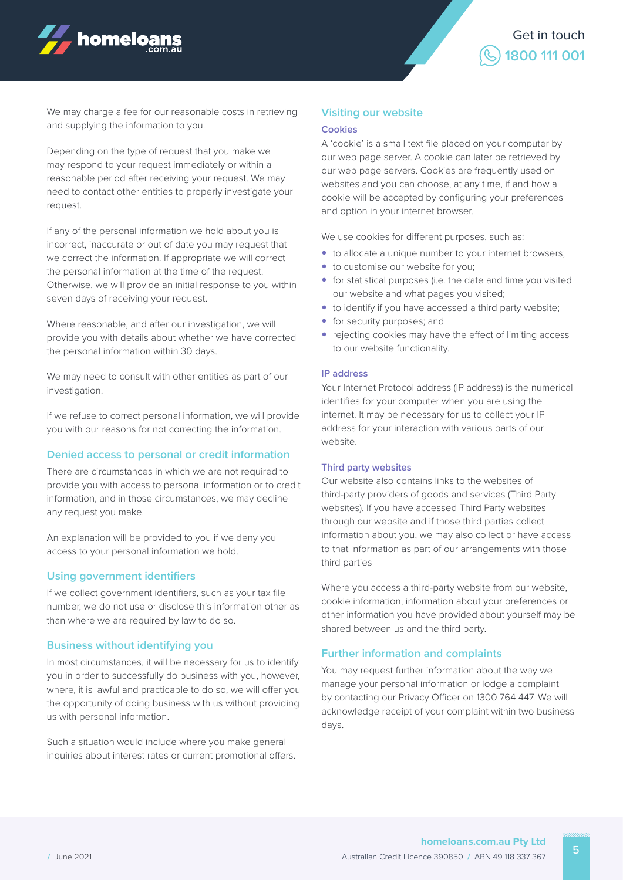



We may charge a fee for our reasonable costs in retrieving and supplying the information to you.

Depending on the type of request that you make we may respond to your request immediately or within a reasonable period after receiving your request. We may need to contact other entities to properly investigate your request.

If any of the personal information we hold about you is incorrect, inaccurate or out of date you may request that we correct the information. If appropriate we will correct the personal information at the time of the request. Otherwise, we will provide an initial response to you within seven days of receiving your request.

Where reasonable, and after our investigation, we will provide you with details about whether we have corrected the personal information within 30 days.

We may need to consult with other entities as part of our investigation.

If we refuse to correct personal information, we will provide you with our reasons for not correcting the information.

#### **Denied access to personal or credit information**

There are circumstances in which we are not required to provide you with access to personal information or to credit information, and in those circumstances, we may decline any request you make.

An explanation will be provided to you if we deny you access to your personal information we hold.

#### **Using government identifiers**

If we collect government identifiers, such as your tax file number, we do not use or disclose this information other as than where we are required by law to do so.

#### **Business without identifying you**

In most circumstances, it will be necessary for us to identify you in order to successfully do business with you, however, where, it is lawful and practicable to do so, we will offer you the opportunity of doing business with us without providing us with personal information.

Such a situation would include where you make general inquiries about interest rates or current promotional offers.

#### **Visiting our website**

#### **Cookies**

A 'cookie' is a small text file placed on your computer by our web page server. A cookie can later be retrieved by our web page servers. Cookies are frequently used on websites and you can choose, at any time, if and how a cookie will be accepted by configuring your preferences and option in your internet browser.

We use cookies for different purposes, such as:

- to allocate a unique number to your internet browsers;
- to customise our website for you;
- for statistical purposes (i.e. the date and time you visited our website and what pages you visited;
- to identify if you have accessed a third party website;
- for security purposes; and
- rejecting cookies may have the effect of limiting access to our website functionality.

#### **IP address**

Your Internet Protocol address (IP address) is the numerical identifies for your computer when you are using the internet. It may be necessary for us to collect your IP address for your interaction with various parts of our website.

#### **Third party websites**

Our website also contains links to the websites of third-party providers of goods and services (Third Party websites). If you have accessed Third Party websites through our website and if those third parties collect information about you, we may also collect or have access to that information as part of our arrangements with those third parties

Where you access a third-party website from our website, cookie information, information about your preferences or other information you have provided about yourself may be shared between us and the third party.

#### **Further information and complaints**

You may request further information about the way we manage your personal information or lodge a complaint by contacting our Privacy Officer on 1300 764 447. We will acknowledge receipt of your complaint within two business days.